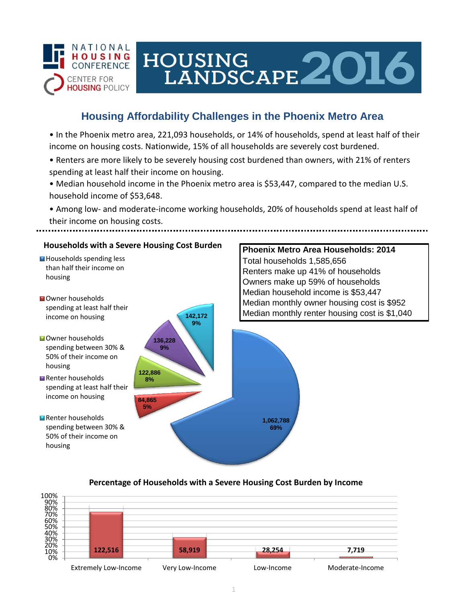

# HOUSING<br>LANDSCAPE 2016

# **Housing Affordability Challenges in the Phoenix Metro Area**

• In the Phoenix metro area, 221,093 households, or 14% of households, spend at least half of their income on housing costs. Nationwide, 15% of all households are severely cost burdened.

- Renters are more likely to be severely housing cost burdened than owners, with 21% of renters spending at least half their income on housing.
- Median household income in the Phoenix metro area is \$53,447, compared to the median U.S. household income of \$53,648.
- Among low- and moderate-income working households, 20% of households spend at least half of their income on housing costs.



## **Percentage of Households with a Severe Housing Cost Burden by Income**